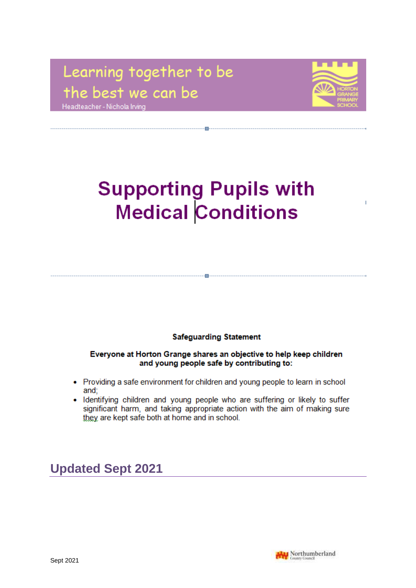# Learning together to be the best we can be Headteacher - Nichola Irving



 $\overline{1}$ 

# **Supporting Pupils with Medical Conditions**

#### **Safeguarding Statement**

Everyone at Horton Grange shares an objective to help keep children and young people safe by contributing to:

- Providing a safe environment for children and young people to learn in school and;
- Identifying children and young people who are suffering or likely to suffer significant harm, and taking appropriate action with the aim of making sure they are kept safe both at home and in school.

# **Updated Sept 2021**

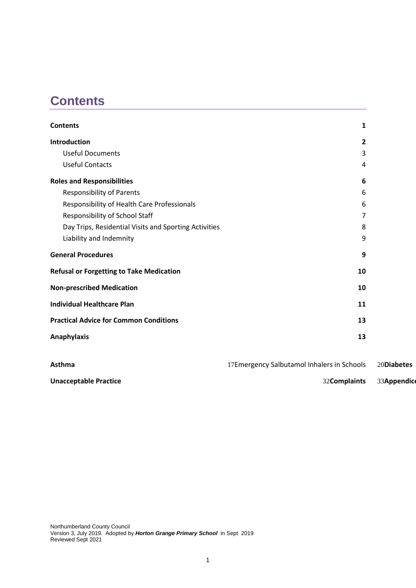# <span id="page-1-0"></span>**Contents**

| <b>Contents</b>                                       | 1                                          |            |
|-------------------------------------------------------|--------------------------------------------|------------|
| Introduction                                          | $\mathbf{2}$                               |            |
| <b>Useful Documents</b>                               | 3                                          |            |
| <b>Useful Contacts</b>                                | 4                                          |            |
| <b>Roles and Responsibilities</b>                     | 6                                          |            |
| <b>Responsibility of Parents</b>                      | 6                                          |            |
| Responsibility of Health Care Professionals           | 6                                          |            |
| Responsibility of School Staff                        | 7                                          |            |
| Day Trips, Residential Visits and Sporting Activities | 8                                          |            |
| Liability and Indemnity                               | 9                                          |            |
| <b>General Procedures</b>                             | 9                                          |            |
| <b>Refusal or Forgetting to Take Medication</b>       | 10                                         |            |
| <b>Non-prescribed Medication</b>                      | 10                                         |            |
| <b>Individual Healthcare Plan</b>                     | 11                                         |            |
| <b>Practical Advice for Common Conditions</b>         | 13                                         |            |
| <b>Anaphylaxis</b>                                    | 13                                         |            |
|                                                       |                                            |            |
| <b>Asthma</b>                                         | 17Emergency Salbutamol Inhalers in Schools | 20Diabetes |

**[Unacceptable Practice](#page-32-0)** 33Appendice 33[Appendices](#page-33-0)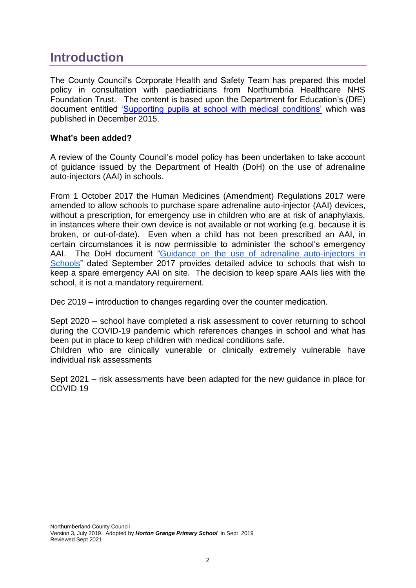# <span id="page-2-0"></span>**Introduction**

The County Council's Corporate Health and Safety Team has prepared this model policy in consultation with paediatricians from Northumbria Healthcare NHS Foundation Trust. The content is based upon the Department for Education's (DfE) document entitled ['Supporting pupils at school with medical conditions'](https://www.gov.uk/government/uploads/system/uploads/attachment_data/file/349435/Statutory_guidance_on_supporting_pupils_at_school_with_medical_conditions.pdf) which was published in December 2015.

#### **What's been added?**

A review of the County Council's model policy has been undertaken to take account of guidance issued by the Department of Health (DoH) on the use of adrenaline auto-injectors (AAI) in schools.

From 1 October 2017 the Human Medicines (Amendment) Regulations 2017 were amended to allow schools to purchase spare adrenaline auto-injector (AAI) devices, without a prescription, for emergency use in children who are at risk of anaphylaxis, in instances where their own device is not available or not working (e.g. because it is broken, or out-of-date). Even when a child has not been prescribed an AAI, in certain circumstances it is now permissible to administer the school's emergency AAI. The DoH document ["Guidance on the use of adrenaline auto-injectors in](https://assets.publishing.service.gov.uk/government/uploads/system/uploads/attachment_data/file/645476/Adrenaline_auto_injectors_in_schools.pdf)  [Schools"](https://assets.publishing.service.gov.uk/government/uploads/system/uploads/attachment_data/file/645476/Adrenaline_auto_injectors_in_schools.pdf) dated September 2017 provides detailed advice to schools that wish to keep a spare emergency AAI on site. The decision to keep spare AAIs lies with the school, it is not a mandatory requirement.

Dec 2019 – introduction to changes regarding over the counter medication.

Sept 2020 – school have completed a risk assessment to cover returning to school during the COVID-19 pandemic which references changes in school and what has been put in place to keep children with medical conditions safe.

Children who are clinically vunerable or clinically extremely vulnerable have individual risk assessments

Sept 2021 – risk assessments have been adapted for the new guidance in place for COVID 19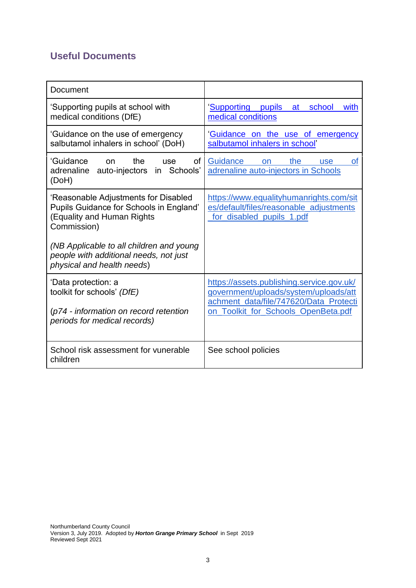# <span id="page-3-0"></span>**Useful Documents**

| Document                                                                                                                                                                 |                                                                                                                                                                     |  |  |
|--------------------------------------------------------------------------------------------------------------------------------------------------------------------------|---------------------------------------------------------------------------------------------------------------------------------------------------------------------|--|--|
| 'Supporting pupils at school with<br>medical conditions (DfE)                                                                                                            | Supporting pupils at school<br>with<br>medical conditions                                                                                                           |  |  |
| 'Guidance on the use of emergency<br>salbutamol inhalers in school' (DoH)                                                                                                | 'Guidance on the use of emergency<br>salbutamol inhalers in school'                                                                                                 |  |  |
| the<br>'Guidance<br>of<br>on.<br>use<br>adrenaline auto-injectors<br>in Schools'<br>(DoH)                                                                                | Guidance<br>the<br>on<br><b>use</b><br><b>of</b><br>adrenaline auto-injectors in Schools                                                                            |  |  |
| 'Reasonable Adjustments for Disabled<br>Pupils Guidance for Schools in England'<br>(Equality and Human Rights<br>Commission)<br>(NB Applicable to all children and young | https://www.equalityhumanrights.com/sit<br>es/default/files/reasonable_adjustments<br>for disabled pupils 1.pdf                                                     |  |  |
| people with additional needs, not just<br>physical and health needs)                                                                                                     |                                                                                                                                                                     |  |  |
| 'Data protection: a<br>toolkit for schools' (DfE)<br>(p74 - information on record retention<br>periods for medical records)                                              | https://assets.publishing.service.gov.uk/<br>government/uploads/system/uploads/att<br>achment data/file/747620/Data Protecti<br>on Toolkit for Schools OpenBeta.pdf |  |  |
| School risk assessment for vunerable<br>children                                                                                                                         | See school policies                                                                                                                                                 |  |  |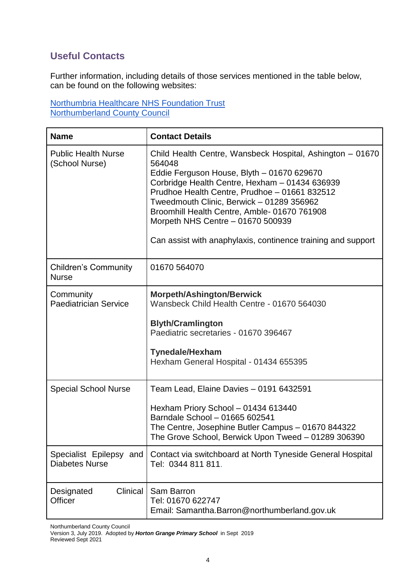# <span id="page-4-0"></span>**Useful Contacts**

Further information, including details of those services mentioned in the table below, can be found on the following websites:

[Northumbria Healthcare NHS Foundation Trust](https://www.northumbria.nhs.uk/our-services/childrens-services/) [Northumberland County Council](https://www.northumberland.gov.uk/Children/Northumberland-Local-Offer-SEND-0-to-25-years/Health.aspx)

| <b>Name</b>                                      | <b>Contact Details</b>                                                                                                                                                                                                                                                                                                                                                                                                 |
|--------------------------------------------------|------------------------------------------------------------------------------------------------------------------------------------------------------------------------------------------------------------------------------------------------------------------------------------------------------------------------------------------------------------------------------------------------------------------------|
| <b>Public Health Nurse</b><br>(School Nurse)     | Child Health Centre, Wansbeck Hospital, Ashington - 01670<br>564048<br>Eddie Ferguson House, Blyth - 01670 629670<br>Corbridge Health Centre, Hexham - 01434 636939<br>Prudhoe Health Centre, Prudhoe - 01661 832512<br>Tweedmouth Clinic, Berwick - 01289 356962<br>Broomhill Health Centre, Amble- 01670 761908<br>Morpeth NHS Centre - 01670 500939<br>Can assist with anaphylaxis, continence training and support |
| <b>Children's Community</b><br><b>Nurse</b>      | 01670 564070                                                                                                                                                                                                                                                                                                                                                                                                           |
| Community<br><b>Paediatrician Service</b>        | <b>Morpeth/Ashington/Berwick</b><br>Wansbeck Child Health Centre - 01670 564030<br><b>Blyth/Cramlington</b><br>Paediatric secretaries - 01670 396467<br><b>Tynedale/Hexham</b><br>Hexham General Hospital - 01434 655395                                                                                                                                                                                               |
| <b>Special School Nurse</b>                      | Team Lead, Elaine Davies - 0191 6432591<br>Hexham Priory School - 01434 613440<br>Barndale School - 01665 602541<br>The Centre, Josephine Butler Campus - 01670 844322<br>The Grove School, Berwick Upon Tweed - 01289 306390                                                                                                                                                                                          |
| Specialist Epilepsy and<br><b>Diabetes Nurse</b> | Contact via switchboard at North Tyneside General Hospital<br>Tel: 0344 811 811.                                                                                                                                                                                                                                                                                                                                       |
| Clinical<br>Designated<br>Officer                | Sam Barron<br>Tel: 01670 622747<br>Email: Samantha.Barron@northumberland.gov.uk                                                                                                                                                                                                                                                                                                                                        |

Northumberland County Council

Version 3, July 2019. Adopted by *Horton Grange Primary School* in Sept 2019 Reviewed Sept 2021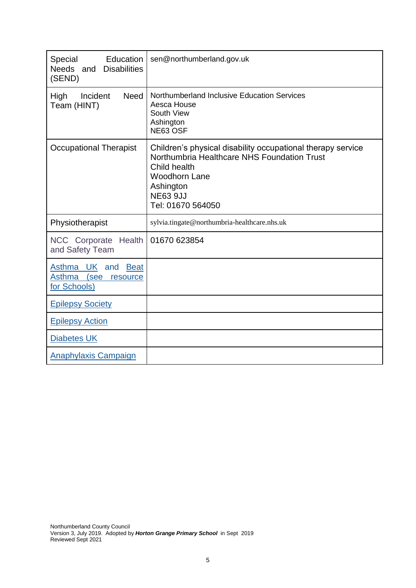| Education<br>Special<br><b>Disabilities</b><br>Needs and<br>(SEND)  | sen@northumberland.gov.uk                                                                                                                                                                               |
|---------------------------------------------------------------------|---------------------------------------------------------------------------------------------------------------------------------------------------------------------------------------------------------|
| <b>Need</b><br>High<br>Incident<br>Team (HINT)                      | Northumberland Inclusive Education Services<br>Aesca House<br>South View<br>Ashington<br>NE63 OSF                                                                                                       |
| <b>Occupational Therapist</b>                                       | Children's physical disability occupational therapy service<br>Northumbria Healthcare NHS Foundation Trust<br>Child health<br><b>Woodhorn Lane</b><br>Ashington<br><b>NE63 9JJ</b><br>Tel: 01670 564050 |
| Physiotherapist                                                     | sylvia.tingate@northumbria-healthcare.nhs.uk                                                                                                                                                            |
| NCC Corporate Health<br>and Safety Team                             | 01670 623854                                                                                                                                                                                            |
| Asthma UK and<br>Beat<br>Asthma<br>(see<br>resource<br>for Schools) |                                                                                                                                                                                                         |
| <b>Epilepsy Society</b>                                             |                                                                                                                                                                                                         |
| <b>Epilepsy Action</b>                                              |                                                                                                                                                                                                         |
| <b>Diabetes UK</b>                                                  |                                                                                                                                                                                                         |
| Anaphylaxis Campaign                                                |                                                                                                                                                                                                         |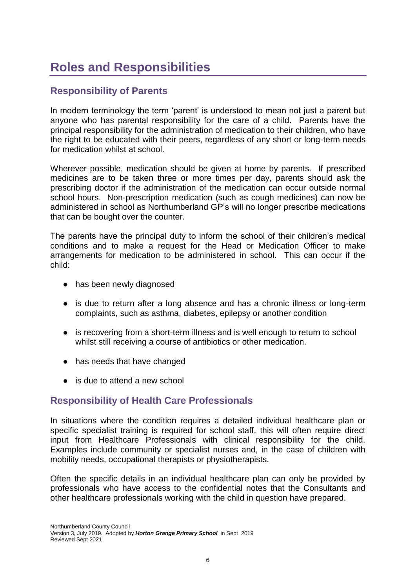# <span id="page-6-0"></span>**Roles and Responsibilities**

# <span id="page-6-1"></span>**Responsibility of Parents**

In modern terminology the term 'parent' is understood to mean not just a parent but anyone who has parental responsibility for the care of a child. Parents have the principal responsibility for the administration of medication to their children, who have the right to be educated with their peers, regardless of any short or long-term needs for medication whilst at school.

Wherever possible, medication should be given at home by parents. If prescribed medicines are to be taken three or more times per day, parents should ask the prescribing doctor if the administration of the medication can occur outside normal school hours. Non-prescription medication (such as cough medicines) can now be administered in school as Northumberland GP's will no longer prescribe medications that can be bought over the counter.

The parents have the principal duty to inform the school of their children's medical conditions and to make a request for the Head or Medication Officer to make arrangements for medication to be administered in school. This can occur if the child:

- has been newly diagnosed
- is due to return after a long absence and has a chronic illness or long-term complaints, such as asthma, diabetes, epilepsy or another condition
- is recovering from a short-term illness and is well enough to return to school whilst still receiving a course of antibiotics or other medication.
- has needs that have changed
- is due to attend a new school

# <span id="page-6-2"></span>**Responsibility of Health Care Professionals**

In situations where the condition requires a detailed individual healthcare plan or specific specialist training is required for school staff, this will often require direct input from Healthcare Professionals with clinical responsibility for the child. Examples include community or specialist nurses and, in the case of children with mobility needs, occupational therapists or physiotherapists.

Often the specific details in an individual healthcare plan can only be provided by professionals who have access to the confidential notes that the Consultants and other healthcare professionals working with the child in question have prepared.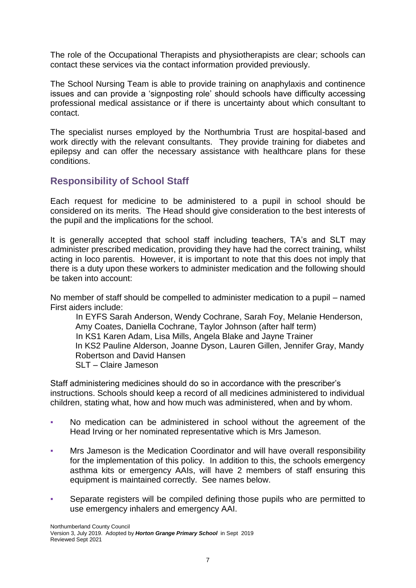The role of the Occupational Therapists and physiotherapists are clear; schools can contact these services via the contact information provided previously.

The School Nursing Team is able to provide training on anaphylaxis and continence issues and can provide a 'signposting role' should schools have difficulty accessing professional medical assistance or if there is uncertainty about which consultant to contact.

The specialist nurses employed by the Northumbria Trust are hospital-based and work directly with the relevant consultants. They provide training for diabetes and epilepsy and can offer the necessary assistance with healthcare plans for these conditions.

# <span id="page-7-0"></span>**Responsibility of School Staff**

Each request for medicine to be administered to a pupil in school should be considered on its merits. The Head should give consideration to the best interests of the pupil and the implications for the school.

It is generally accepted that school staff including teachers, TA's and SLT may administer prescribed medication, providing they have had the correct training, whilst acting in loco parentis. However, it is important to note that this does not imply that there is a duty upon these workers to administer medication and the following should be taken into account:

No member of staff should be compelled to administer medication to a pupil – named First aiders include:

In EYFS Sarah Anderson, Wendy Cochrane, Sarah Foy, Melanie Henderson, Amy Coates, Daniella Cochrane, Taylor Johnson (after half term) In KS1 Karen Adam, Lisa Mills, Angela Blake and Jayne Trainer In KS2 Pauline Alderson, Joanne Dyson, Lauren Gillen, Jennifer Gray, Mandy Robertson and David Hansen SLT – Claire Jameson

Staff administering medicines should do so in accordance with the prescriber's instructions. Schools should keep a record of all medicines administered to individual children, stating what, how and how much was administered, when and by whom.

- No medication can be administered in school without the agreement of the Head Irving or her nominated representative which is Mrs Jameson.
- Mrs Jameson is the Medication Coordinator and will have overall responsibility for the implementation of this policy. In addition to this, the schools emergency asthma kits or emergency AAIs, will have 2 members of staff ensuring this equipment is maintained correctly. See names below.
- Separate registers will be compiled defining those pupils who are permitted to use emergency inhalers and emergency AAI.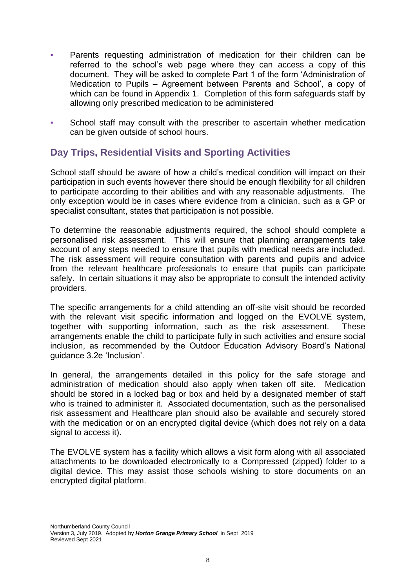- Parents requesting administration of medication for their children can be referred to the school's web page where they can access a copy of this document. They will be asked to complete Part 1 of the form 'Administration of Medication to Pupils – Agreement between Parents and School', a copy of which can be found in Appendix 1. Completion of this form safeguards staff by allowing only prescribed medication to be administered
- School staff may consult with the prescriber to ascertain whether medication can be given outside of school hours.

# <span id="page-8-0"></span>**Day Trips, Residential Visits and Sporting Activities**

School staff should be aware of how a child's medical condition will impact on their participation in such events however there should be enough flexibility for all children to participate according to their abilities and with any reasonable adjustments. The only exception would be in cases where evidence from a clinician, such as a GP or specialist consultant, states that participation is not possible.

To determine the reasonable adjustments required, the school should complete a personalised risk assessment. This will ensure that planning arrangements take account of any steps needed to ensure that pupils with medical needs are included. The risk assessment will require consultation with parents and pupils and advice from the relevant healthcare professionals to ensure that pupils can participate safely. In certain situations it may also be appropriate to consult the intended activity providers.

The specific arrangements for a child attending an off-site visit should be recorded with the relevant visit specific information and logged on the EVOLVE system, together with supporting information, such as the risk assessment. These arrangements enable the child to participate fully in such activities and ensure social inclusion, as recommended by the Outdoor Education Advisory Board's National guidance 3.2e 'Inclusion'.

In general, the arrangements detailed in this policy for the safe storage and administration of medication should also apply when taken off site. Medication should be stored in a locked bag or box and held by a designated member of staff who is trained to administer it. Associated documentation, such as the personalised risk assessment and Healthcare plan should also be available and securely stored with the medication or on an encrypted digital device (which does not rely on a data signal to access it).

The EVOLVE system has a facility which allows a visit form along with all associated attachments to be downloaded electronically to a Compressed (zipped) folder to a digital device. This may assist those schools wishing to store documents on an encrypted digital platform.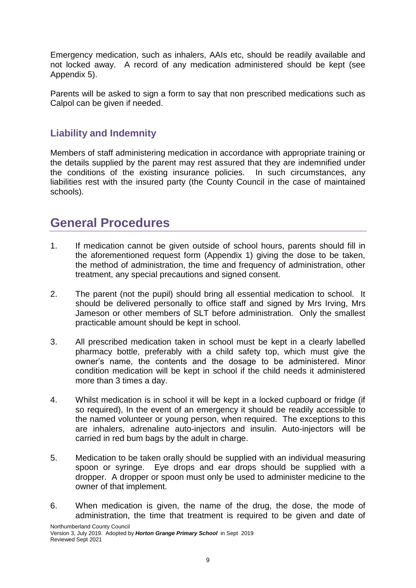Emergency medication, such as inhalers, AAIs etc, should be readily available and not locked away. A record of any medication administered should be kept (see Appendix 5).

Parents will be asked to sign a form to say that non prescribed medications such as Calpol can be given if needed.

# <span id="page-9-0"></span>**Liability and Indemnity**

Members of staff administering medication in accordance with appropriate training or the details supplied by the parent may rest assured that they are indemnified under the conditions of the existing insurance policies. In such circumstances, any liabilities rest with the insured party (the County Council in the case of maintained schools).

# <span id="page-9-1"></span>**General Procedures**

- 1. If medication cannot be given outside of school hours, parents should fill in the aforementioned request form (Appendix 1) giving the dose to be taken, the method of administration, the time and frequency of administration, other treatment, any special precautions and signed consent.
- 2. The parent (not the pupil) should bring all essential medication to school. It should be delivered personally to office staff and signed by Mrs Irving, Mrs Jameson or other members of SLT before administration. Only the smallest practicable amount should be kept in school.
- 3. All prescribed medication taken in school must be kept in a clearly labelled pharmacy bottle, preferably with a child safety top, which must give the owner's name, the contents and the dosage to be administered. Minor condition medication will be kept in school if the child needs it administered more than 3 times a day.
- 4. Whilst medication is in school it will be kept in a locked cupboard or fridge (if so required), In the event of an emergency it should be readily accessible to the named volunteer or young person, when required. The exceptions to this are inhalers, adrenaline auto-injectors and insulin. Auto-injectors will be carried in red bum bags by the adult in charge.
- 5. Medication to be taken orally should be supplied with an individual measuring spoon or syringe. Eye drops and ear drops should be supplied with a dropper. A dropper or spoon must only be used to administer medicine to the owner of that implement.
- 6. When medication is given, the name of the drug, the dose, the mode of administration, the time that treatment is required to be given and date of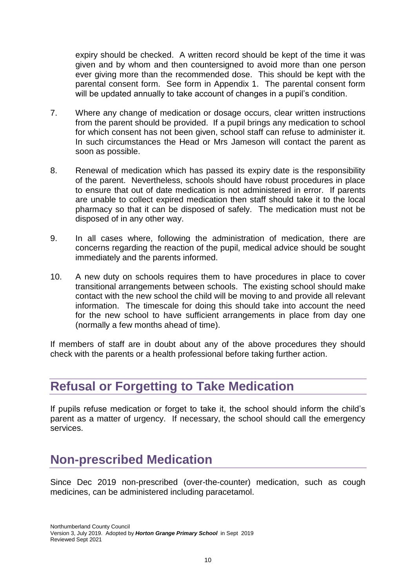expiry should be checked. A written record should be kept of the time it was given and by whom and then countersigned to avoid more than one person ever giving more than the recommended dose. This should be kept with the parental consent form. See form in Appendix 1. The parental consent form will be updated annually to take account of changes in a pupil's condition.

- 7. Where any change of medication or dosage occurs, clear written instructions from the parent should be provided. If a pupil brings any medication to school for which consent has not been given, school staff can refuse to administer it. In such circumstances the Head or Mrs Jameson will contact the parent as soon as possible.
- 8. Renewal of medication which has passed its expiry date is the responsibility of the parent. Nevertheless, schools should have robust procedures in place to ensure that out of date medication is not administered in error. If parents are unable to collect expired medication then staff should take it to the local pharmacy so that it can be disposed of safely. The medication must not be disposed of in any other way.
- 9. In all cases where, following the administration of medication, there are concerns regarding the reaction of the pupil, medical advice should be sought immediately and the parents informed.
- 10. A new duty on schools requires them to have procedures in place to cover transitional arrangements between schools. The existing school should make contact with the new school the child will be moving to and provide all relevant information. The timescale for doing this should take into account the need for the new school to have sufficient arrangements in place from day one (normally a few months ahead of time).

If members of staff are in doubt about any of the above procedures they should check with the parents or a health professional before taking further action.

# <span id="page-10-0"></span>**Refusal or Forgetting to Take Medication**

If pupils refuse medication or forget to take it, the school should inform the child's parent as a matter of urgency. If necessary, the school should call the emergency services.

# <span id="page-10-1"></span>**Non-prescribed Medication**

Since Dec 2019 non-prescribed (over-the-counter) medication, such as cough medicines, can be administered including paracetamol.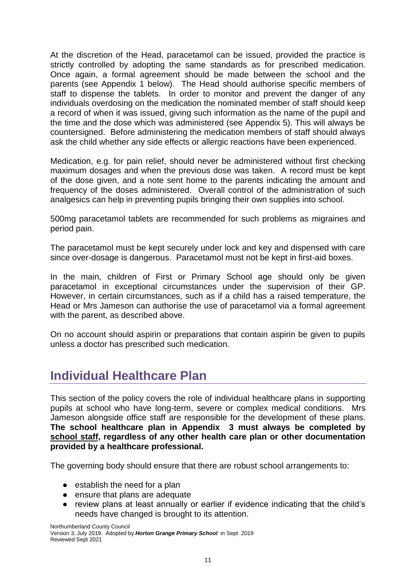At the discretion of the Head, paracetamol can be issued, provided the practice is strictly controlled by adopting the same standards as for prescribed medication. Once again, a formal agreement should be made between the school and the parents (see Appendix 1 below). The Head should authorise specific members of staff to dispense the tablets. In order to monitor and prevent the danger of any individuals overdosing on the medication the nominated member of staff should keep a record of when it was issued, giving such information as the name of the pupil and the time and the dose which was administered (see Appendix 5). This will always be countersigned. Before administering the medication members of staff should always ask the child whether any side effects or allergic reactions have been experienced.

Medication, e.g. for pain relief, should never be administered without first checking maximum dosages and when the previous dose was taken. A record must be kept of the dose given, and a note sent home to the parents indicating the amount and frequency of the doses administered. Overall control of the administration of such analgesics can help in preventing pupils bringing their own supplies into school.

500mg paracetamol tablets are recommended for such problems as migraines and period pain.

The paracetamol must be kept securely under lock and key and dispensed with care since over-dosage is dangerous. Paracetamol must not be kept in first-aid boxes.

In the main, children of First or Primary School age should only be given paracetamol in exceptional circumstances under the supervision of their GP. However, in certain circumstances, such as if a child has a raised temperature, the Head or Mrs Jameson can authorise the use of paracetamol via a formal agreement with the parent, as described above.

On no account should aspirin or preparations that contain aspirin be given to pupils unless a doctor has prescribed such medication.

# <span id="page-11-0"></span>**Individual Healthcare Plan**

This section of the policy covers the role of individual healthcare plans in supporting pupils at school who have long-term, severe or complex medical conditions. Mrs Jameson alongside office staff are responsible for the development of these plans. **The school healthcare plan in Appendix 3 must always be completed by school staff, regardless of any other health care plan or other documentation provided by a healthcare professional.**

The governing body should ensure that there are robust school arrangements to:

- establish the need for a plan
- ensure that plans are adequate
- review plans at least annually or earlier if evidence indicating that the child's needs have changed is brought to its attention.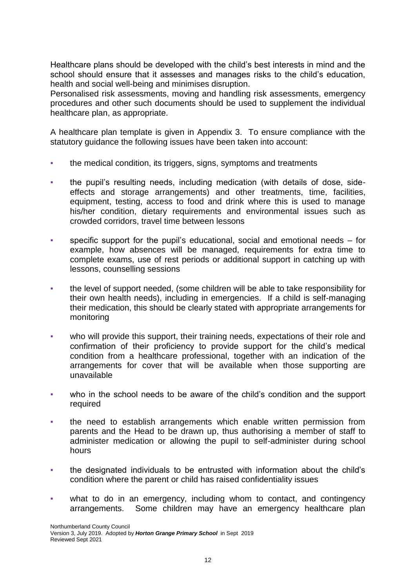Healthcare plans should be developed with the child's best interests in mind and the school should ensure that it assesses and manages risks to the child's education, health and social well-being and minimises disruption.

Personalised risk assessments, moving and handling risk assessments, emergency procedures and other such documents should be used to supplement the individual healthcare plan, as appropriate.

A healthcare plan template is given in Appendix 3. To ensure compliance with the statutory guidance the following issues have been taken into account:

- the medical condition, its triggers, signs, symptoms and treatments
- the pupil's resulting needs, including medication (with details of dose, sideeffects and storage arrangements) and other treatments, time, facilities, equipment, testing, access to food and drink where this is used to manage his/her condition, dietary requirements and environmental issues such as crowded corridors, travel time between lessons
- specific support for the pupil's educational, social and emotional needs for example, how absences will be managed, requirements for extra time to complete exams, use of rest periods or additional support in catching up with lessons, counselling sessions
- the level of support needed, (some children will be able to take responsibility for their own health needs), including in emergencies. If a child is self-managing their medication, this should be clearly stated with appropriate arrangements for monitoring
- who will provide this support, their training needs, expectations of their role and confirmation of their proficiency to provide support for the child's medical condition from a healthcare professional, together with an indication of the arrangements for cover that will be available when those supporting are unavailable
- who in the school needs to be aware of the child's condition and the support required
- the need to establish arrangements which enable written permission from parents and the Head to be drawn up, thus authorising a member of staff to administer medication or allowing the pupil to self-administer during school hours
- the designated individuals to be entrusted with information about the child's condition where the parent or child has raised confidentiality issues
- what to do in an emergency, including whom to contact, and contingency arrangements. Some children may have an emergency healthcare plan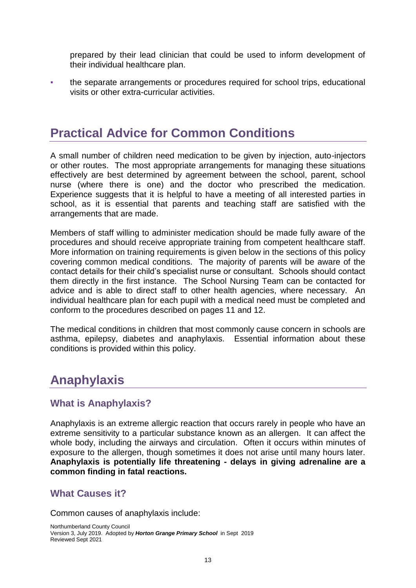prepared by their lead clinician that could be used to inform development of their individual healthcare plan.

the separate arrangements or procedures required for school trips, educational visits or other extra-curricular activities.

# <span id="page-13-0"></span>**Practical Advice for Common Conditions**

A small number of children need medication to be given by injection, auto-injectors or other routes. The most appropriate arrangements for managing these situations effectively are best determined by agreement between the school, parent, school nurse (where there is one) and the doctor who prescribed the medication. Experience suggests that it is helpful to have a meeting of all interested parties in school, as it is essential that parents and teaching staff are satisfied with the arrangements that are made.

Members of staff willing to administer medication should be made fully aware of the procedures and should receive appropriate training from competent healthcare staff. More information on training requirements is given below in the sections of this policy covering common medical conditions. The majority of parents will be aware of the contact details for their child's specialist nurse or consultant. Schools should contact them directly in the first instance. The School Nursing Team can be contacted for advice and is able to direct staff to other health agencies, where necessary. An individual healthcare plan for each pupil with a medical need must be completed and conform to the procedures described on pages 11 and 12.

The medical conditions in children that most commonly cause concern in schools are asthma, epilepsy, diabetes and anaphylaxis. Essential information about these conditions is provided within this policy.

# <span id="page-13-1"></span>**Anaphylaxis**

# **What is Anaphylaxis?**

Anaphylaxis is an extreme allergic reaction that occurs rarely in people who have an extreme sensitivity to a particular substance known as an allergen. It can affect the whole body, including the airways and circulation. Often it occurs within minutes of exposure to the allergen, though sometimes it does not arise until many hours later. **Anaphylaxis is potentially life threatening - delays in giving adrenaline are a common finding in fatal reactions.**

# **What Causes it?**

Common causes of anaphylaxis include: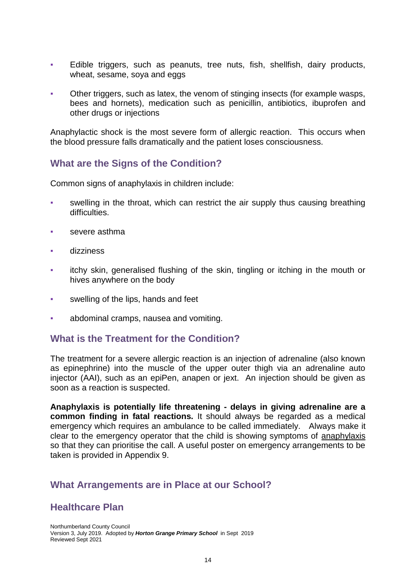- Edible triggers, such as peanuts, tree nuts, fish, shellfish, dairy products, wheat, sesame, soya and eggs
- Other triggers, such as latex, the venom of stinging insects (for example wasps, bees and hornets), medication such as penicillin, antibiotics, ibuprofen and other drugs or injections

Anaphylactic shock is the most severe form of allergic reaction. This occurs when the blood pressure falls dramatically and the patient loses consciousness.

### **What are the Signs of the Condition?**

Common signs of anaphylaxis in children include:

- swelling in the throat, which can restrict the air supply thus causing breathing difficulties.
- severe asthma
- dizziness
- itchy skin, generalised flushing of the skin, tingling or itching in the mouth or hives anywhere on the body
- swelling of the lips, hands and feet
- abdominal cramps, nausea and vomiting.

# **What is the Treatment for the Condition?**

The treatment for a severe allergic reaction is an injection of adrenaline (also known as epinephrine) into the muscle of the upper outer thigh via an adrenaline auto injector (AAI), such as an epiPen, anapen or jext. An injection should be given as soon as a reaction is suspected.

**Anaphylaxis is potentially life threatening - delays in giving adrenaline are a common finding in fatal reactions.** It should always be regarded as a medical emergency which requires an ambulance to be called immediately. Always make it clear to the emergency operator that the child is showing symptoms of anaphylaxis so that they can prioritise the call. A useful poster on emergency arrangements to be taken is provided in Appendix 9.

#### **What Arrangements are in Place at our School?**

# **Healthcare Plan**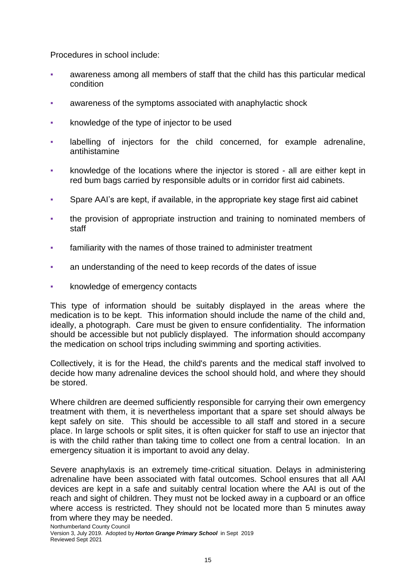Procedures in school include:

- awareness among all members of staff that the child has this particular medical condition
- awareness of the symptoms associated with anaphylactic shock
- knowledge of the type of injector to be used
- labelling of injectors for the child concerned, for example adrenaline, antihistamine
- knowledge of the locations where the injector is stored all are either kept in red bum bags carried by responsible adults or in corridor first aid cabinets.
- Spare AAI's are kept, if available, in the appropriate key stage first aid cabinet
- the provision of appropriate instruction and training to nominated members of staff
- familiarity with the names of those trained to administer treatment
- an understanding of the need to keep records of the dates of issue
- knowledge of emergency contacts

This type of information should be suitably displayed in the areas where the medication is to be kept. This information should include the name of the child and, ideally, a photograph. Care must be given to ensure confidentiality. The information should be accessible but not publicly displayed. The information should accompany the medication on school trips including swimming and sporting activities.

Collectively, it is for the Head, the child's parents and the medical staff involved to decide how many adrenaline devices the school should hold, and where they should be stored.

Where children are deemed sufficiently responsible for carrying their own emergency treatment with them, it is nevertheless important that a spare set should always be kept safely on site. This should be accessible to all staff and stored in a secure place. In large schools or split sites, it is often quicker for staff to use an injector that is with the child rather than taking time to collect one from a central location. In an emergency situation it is important to avoid any delay.

Severe anaphylaxis is an extremely time-critical situation. Delays in administering adrenaline have been associated with fatal outcomes. School ensures that all AAI devices are kept in a safe and suitably central location where the AAI is out of the reach and sight of children. They must not be locked away in a cupboard or an office where access is restricted. They should not be located more than 5 minutes away from where they may be needed.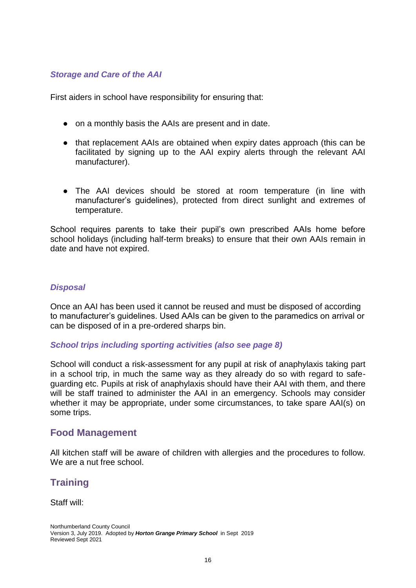#### *Storage and Care of the AAI*

First aiders in school have responsibility for ensuring that:

- on a monthly basis the AAIs are present and in date.
- that replacement AAIs are obtained when expiry dates approach (this can be facilitated by signing up to the AAI expiry alerts through the relevant AAI manufacturer).
- The AAI devices should be stored at room temperature (in line with manufacturer's guidelines), protected from direct sunlight and extremes of temperature.

School requires parents to take their pupil's own prescribed AAIs home before school holidays (including half-term breaks) to ensure that their own AAIs remain in date and have not expired.

#### *Disposal*

Once an AAI has been used it cannot be reused and must be disposed of according to manufacturer's guidelines. Used AAIs can be given to the paramedics on arrival or can be disposed of in a pre-ordered sharps bin.

#### *School trips including sporting activities (also see page 8)*

School will conduct a risk-assessment for any pupil at risk of anaphylaxis taking part in a school trip, in much the same way as they already do so with regard to safeguarding etc. Pupils at risk of anaphylaxis should have their AAI with them, and there will be staff trained to administer the AAI in an emergency. Schools may consider whether it may be appropriate, under some circumstances, to take spare AAI(s) on some trips.

#### **Food Management**

All kitchen staff will be aware of children with allergies and the procedures to follow. We are a nut free school.

# **Training**

Staff will: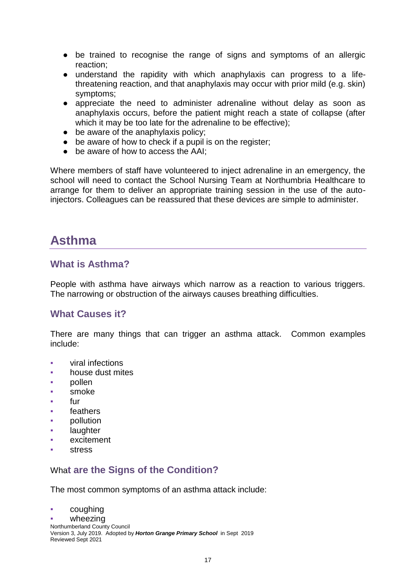- be trained to recognise the range of signs and symptoms of an allergic reaction;
- understand the rapidity with which anaphylaxis can progress to a lifethreatening reaction, and that anaphylaxis may occur with prior mild (e.g. skin) symptoms;
- appreciate the need to administer adrenaline without delay as soon as anaphylaxis occurs, before the patient might reach a state of collapse (after which it may be too late for the adrenaline to be effective);
- be aware of the anaphylaxis policy;
- be aware of how to check if a pupil is on the register;
- be aware of how to access the AAI:

Where members of staff have volunteered to inject adrenaline in an emergency, the school will need to contact the School Nursing Team at Northumbria Healthcare to arrange for them to deliver an appropriate training session in the use of the autoinjectors. Colleagues can be reassured that these devices are simple to administer.

# <span id="page-17-0"></span>**Asthma**

### **What is Asthma?**

People with asthma have airways which narrow as a reaction to various triggers. The narrowing or obstruction of the airways causes breathing difficulties.

# **What Causes it?**

There are many things that can trigger an asthma attack. Common examples include:

- viral infections
- house dust mites
- pollen
- smoke
- fur
- feathers
- pollution
- laughter
- excitement
- **stress**

#### Wha**t are the Signs of the Condition?**

The most common symptoms of an asthma attack include:

coughing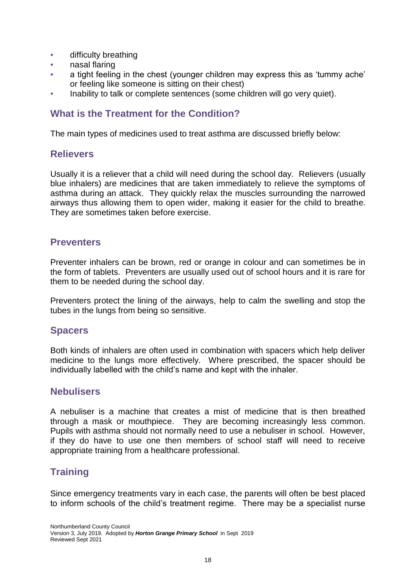- **•** difficulty breathing
- nasal flaring
- a tight feeling in the chest (younger children may express this as 'tummy ache' or feeling like someone is sitting on their chest)
- Inability to talk or complete sentences (some children will go very quiet).

# **What is the Treatment for the Condition?**

The main types of medicines used to treat asthma are discussed briefly below:

#### **Relievers**

Usually it is a reliever that a child will need during the school day. Relievers (usually blue inhalers) are medicines that are taken immediately to relieve the symptoms of asthma during an attack. They quickly relax the muscles surrounding the narrowed airways thus allowing them to open wider, making it easier for the child to breathe. They are sometimes taken before exercise.

### **Preventers**

Preventer inhalers can be brown, red or orange in colour and can sometimes be in the form of tablets. Preventers are usually used out of school hours and it is rare for them to be needed during the school day.

Preventers protect the lining of the airways, help to calm the swelling and stop the tubes in the lungs from being so sensitive.

#### **Spacers**

Both kinds of inhalers are often used in combination with spacers which help deliver medicine to the lungs more effectively. Where prescribed, the spacer should be individually labelled with the child's name and kept with the inhaler.

#### **Nebulisers**

A nebuliser is a machine that creates a mist of medicine that is then breathed through a mask or mouthpiece. They are becoming increasingly less common. Pupils with asthma should not normally need to use a nebuliser in school. However, if they do have to use one then members of school staff will need to receive appropriate training from a healthcare professional.

# **Training**

Since emergency treatments vary in each case, the parents will often be best placed to inform schools of the child's treatment regime. There may be a specialist nurse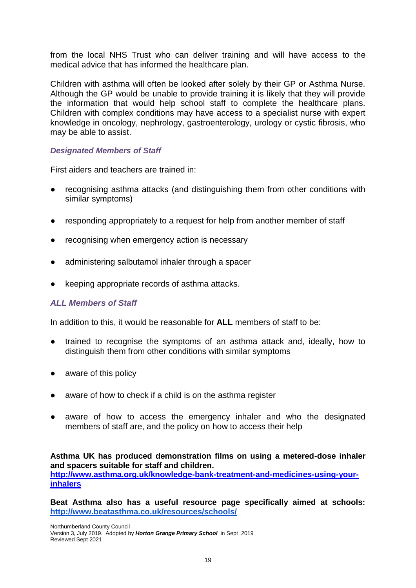from the local NHS Trust who can deliver training and will have access to the medical advice that has informed the healthcare plan.

Children with asthma will often be looked after solely by their GP or Asthma Nurse. Although the GP would be unable to provide training it is likely that they will provide the information that would help school staff to complete the healthcare plans. Children with complex conditions may have access to a specialist nurse with expert knowledge in oncology, nephrology, gastroenterology, urology or cystic fibrosis, who may be able to assist.

#### *Designated Members of Staff*

First aiders and teachers are trained in:

- recognising asthma attacks (and distinguishing them from other conditions with similar symptoms)
- responding appropriately to a request for help from another member of staff
- recognising when emergency action is necessary
- administering salbutamol inhaler through a spacer
- keeping appropriate records of asthma attacks.

#### *ALL Members of Staff*

In addition to this, it would be reasonable for **ALL** members of staff to be:

- trained to recognise the symptoms of an asthma attack and, ideally, how to distinguish them from other conditions with similar symptoms
- aware of this policy
- aware of how to check if a child is on the asthma register
- aware of how to access the emergency inhaler and who the designated members of staff are, and the policy on how to access their help

**Asthma UK has produced demonstration films on using a metered-dose inhaler and spacers suitable for staff and children. [http://www.asthma.org.uk/knowledge-bank-treatment-and-medicines-using-your](http://www.asthma.org.uk/knowledge-bank-treatment-and-medicines-using-your-inhalers)[inhalers](http://www.asthma.org.uk/knowledge-bank-treatment-and-medicines-using-your-inhalers)**

**Beat Asthma also has a useful resource page specifically aimed at schools: <http://www.beatasthma.co.uk/resources/schools/>**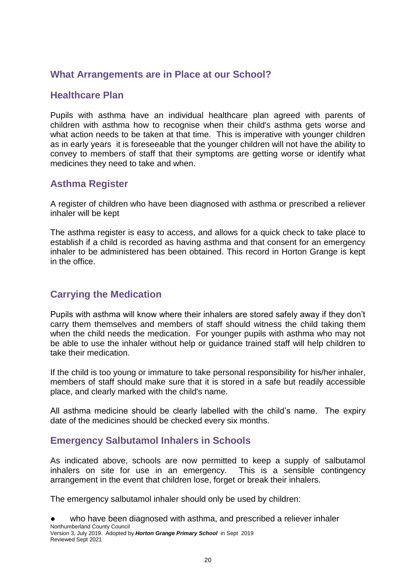# **What Arrangements are in Place at our School?**

### **Healthcare Plan**

Pupils with asthma have an individual healthcare plan agreed with parents of children with asthma how to recognise when their child's asthma gets worse and what action needs to be taken at that time. This is imperative with younger children as in early years it is foreseeable that the younger children will not have the ability to convey to members of staff that their symptoms are getting worse or identify what medicines they need to take and when.

# **Asthma Register**

A register of children who have been diagnosed with asthma or prescribed a reliever inhaler will be kept

The asthma register is easy to access, and allows for a quick check to take place to establish if a child is recorded as having asthma and that consent for an emergency inhaler to be administered has been obtained. This record in Horton Grange is kept in the office.

# **Carrying the Medication**

Pupils with asthma will know where their inhalers are stored safely away if they don't carry them themselves and members of staff should witness the child taking them when the child needs the medication. For younger pupils with asthma who may not be able to use the inhaler without help or guidance trained staff will help children to take their medication.

If the child is too young or immature to take personal responsibility for his/her inhaler, members of staff should make sure that it is stored in a safe but readily accessible place, and clearly marked with the child's name.

All asthma medicine should be clearly labelled with the child's name. The expiry date of the medicines should be checked every six months.

# <span id="page-20-0"></span>**Emergency Salbutamol Inhalers in Schools**

As indicated above, schools are now permitted to keep a supply of salbutamol inhalers on site for use in an emergency. This is a sensible contingency arrangement in the event that children lose, forget or break their inhalers.

The emergency salbutamol inhaler should only be used by children:

Northumberland County Council Version 3, July 2019. Adopted by *Horton Grange Primary School* in Sept 2019 Reviewed Sept 2021 who have been diagnosed with asthma, and prescribed a reliever inhaler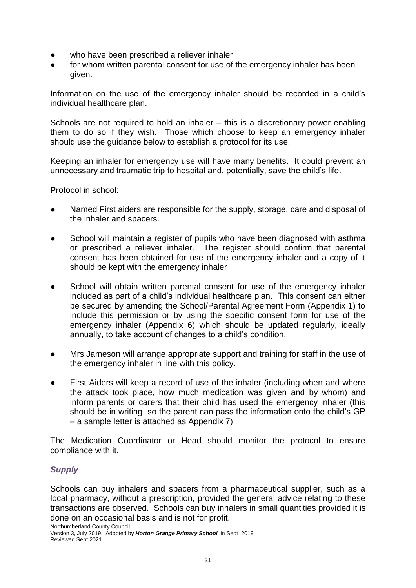- who have been prescribed a reliever inhaler
- for whom written parental consent for use of the emergency inhaler has been given.

Information on the use of the emergency inhaler should be recorded in a child's individual healthcare plan.

Schools are not required to hold an inhaler – this is a discretionary power enabling them to do so if they wish. Those which choose to keep an emergency inhaler should use the guidance below to establish a protocol for its use.

Keeping an inhaler for emergency use will have many benefits. It could prevent an unnecessary and traumatic trip to hospital and, potentially, save the child's life.

Protocol in school:

- Named First aiders are responsible for the supply, storage, care and disposal of the inhaler and spacers.
- School will maintain a register of pupils who have been diagnosed with asthma or prescribed a reliever inhaler. The register should confirm that parental consent has been obtained for use of the emergency inhaler and a copy of it should be kept with the emergency inhaler
- School will obtain written parental consent for use of the emergency inhaler included as part of a child's individual healthcare plan. This consent can either be secured by amending the School/Parental Agreement Form (Appendix 1) to include this permission or by using the specific consent form for use of the emergency inhaler (Appendix 6) which should be updated regularly, ideally annually, to take account of changes to a child's condition.
- Mrs Jameson will arrange appropriate support and training for staff in the use of the emergency inhaler in line with this policy.
- First Aiders will keep a record of use of the inhaler (including when and where the attack took place, how much medication was given and by whom) and inform parents or carers that their child has used the emergency inhaler (this should be in writing so the parent can pass the information onto the child's GP – a sample letter is attached as Appendix 7)

The Medication Coordinator or Head should monitor the protocol to ensure compliance with it.

#### *Supply*

Schools can buy inhalers and spacers from a pharmaceutical supplier, such as a local pharmacy, without a prescription, provided the general advice relating to these transactions are observed. Schools can buy inhalers in small quantities provided it is done on an occasional basis and is not for profit.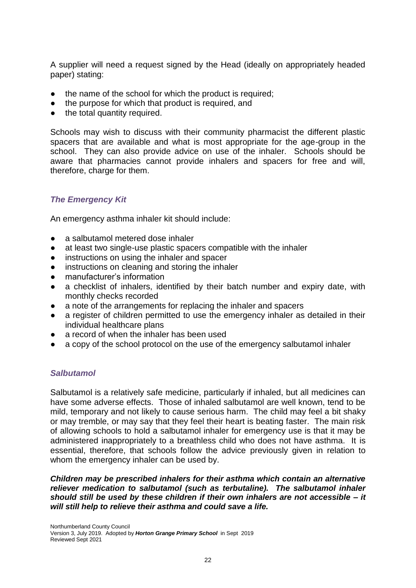A supplier will need a request signed by the Head (ideally on appropriately headed paper) stating:

- the name of the school for which the product is required;
- the purpose for which that product is required, and
- the total quantity required.

Schools may wish to discuss with their community pharmacist the different plastic spacers that are available and what is most appropriate for the age-group in the school. They can also provide advice on use of the inhaler. Schools should be aware that pharmacies cannot provide inhalers and spacers for free and will, therefore, charge for them.

#### *The Emergency Kit*

An emergency asthma inhaler kit should include:

- a salbutamol metered dose inhaler
- at least two single-use plastic spacers compatible with the inhaler
- instructions on using the inhaler and spacer
- instructions on cleaning and storing the inhaler
- manufacturer's information
- a checklist of inhalers, identified by their batch number and expiry date, with monthly checks recorded
- a note of the arrangements for replacing the inhaler and spacers
- a register of children permitted to use the emergency inhaler as detailed in their individual healthcare plans
- a record of when the inhaler has been used
- a copy of the school protocol on the use of the emergency salbutamol inhaler

#### *Salbutamol*

Salbutamol is a relatively safe medicine, particularly if inhaled, but all medicines can have some adverse effects. Those of inhaled salbutamol are well known, tend to be mild, temporary and not likely to cause serious harm. The child may feel a bit shaky or may tremble, or may say that they feel their heart is beating faster. The main risk of allowing schools to hold a salbutamol inhaler for emergency use is that it may be administered inappropriately to a breathless child who does not have asthma. It is essential, therefore, that schools follow the advice previously given in relation to whom the emergency inhaler can be used by.

*Children may be prescribed inhalers for their asthma which contain an alternative reliever medication to salbutamol (such as terbutaline). The salbutamol inhaler should still be used by these children if their own inhalers are not accessible – it will still help to relieve their asthma and could save a life.*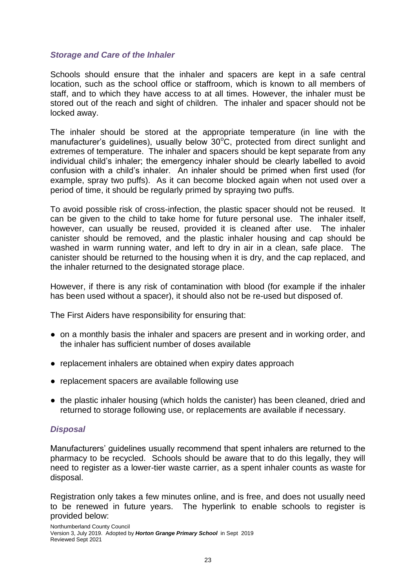#### *Storage and Care of the Inhaler*

Schools should ensure that the inhaler and spacers are kept in a safe central location, such as the school office or staffroom, which is known to all members of staff, and to which they have access to at all times. However, the inhaler must be stored out of the reach and sight of children. The inhaler and spacer should not be locked away.

The inhaler should be stored at the appropriate temperature (in line with the manufacturer's quidelines), usually below  $30^{\circ}$ C, protected from direct sunlight and extremes of temperature. The inhaler and spacers should be kept separate from any individual child's inhaler; the emergency inhaler should be clearly labelled to avoid confusion with a child's inhaler. An inhaler should be primed when first used (for example, spray two puffs). As it can become blocked again when not used over a period of time, it should be regularly primed by spraying two puffs.

To avoid possible risk of cross-infection, the plastic spacer should not be reused. It can be given to the child to take home for future personal use. The inhaler itself, however, can usually be reused, provided it is cleaned after use. The inhaler canister should be removed, and the plastic inhaler housing and cap should be washed in warm running water, and left to dry in air in a clean, safe place. The canister should be returned to the housing when it is dry, and the cap replaced, and the inhaler returned to the designated storage place.

However, if there is any risk of contamination with blood (for example if the inhaler has been used without a spacer), it should also not be re-used but disposed of.

The First Aiders have responsibility for ensuring that:

- on a monthly basis the inhaler and spacers are present and in working order, and the inhaler has sufficient number of doses available
- replacement inhalers are obtained when expiry dates approach
- replacement spacers are available following use
- the plastic inhaler housing (which holds the canister) has been cleaned, dried and returned to storage following use, or replacements are available if necessary.

#### *Disposal*

Manufacturers' guidelines usually recommend that spent inhalers are returned to the pharmacy to be recycled. Schools should be aware that to do this legally, they will need to register as a lower-tier waste carrier, as a spent inhaler counts as waste for disposal.

Registration only takes a few minutes online, and is free, and does not usually need to be renewed in future years. The hyperlink to enable schools to register is provided below: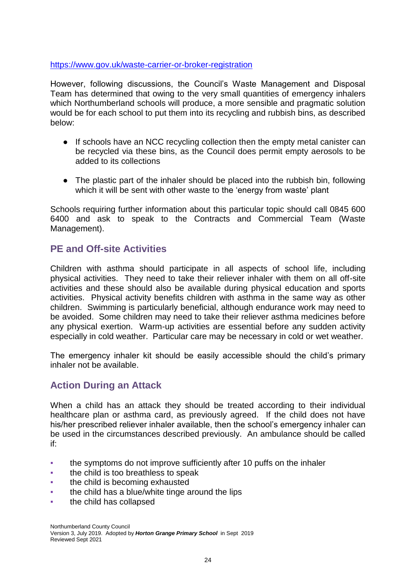#### <https://www.gov.uk/waste-carrier-or-broker-registration>

However, following discussions, the Council's Waste Management and Disposal Team has determined that owing to the very small quantities of emergency inhalers which Northumberland schools will produce, a more sensible and pragmatic solution would be for each school to put them into its recycling and rubbish bins, as described below:

- If schools have an NCC recycling collection then the empty metal canister can be recycled via these bins, as the Council does permit empty aerosols to be added to its collections
- The plastic part of the inhaler should be placed into the rubbish bin, following which it will be sent with other waste to the 'energy from waste' plant

Schools requiring further information about this particular topic should call 0845 600 6400 and ask to speak to the Contracts and Commercial Team (Waste Management).

# **PE and Off-site Activities**

Children with asthma should participate in all aspects of school life, including physical activities. They need to take their reliever inhaler with them on all off-site activities and these should also be available during physical education and sports activities. Physical activity benefits children with asthma in the same way as other children. Swimming is particularly beneficial, although endurance work may need to be avoided. Some children may need to take their reliever asthma medicines before any physical exertion. Warm-up activities are essential before any sudden activity especially in cold weather. Particular care may be necessary in cold or wet weather.

The emergency inhaler kit should be easily accessible should the child's primary inhaler not be available.

# **Action During an Attack**

When a child has an attack they should be treated according to their individual healthcare plan or asthma card, as previously agreed. If the child does not have his/her prescribed reliever inhaler available, then the school's emergency inhaler can be used in the circumstances described previously. An ambulance should be called if:

- the symptoms do not improve sufficiently after 10 puffs on the inhaler
- the child is too breathless to speak
- the child is becoming exhausted
- the child has a blue/white tinge around the lips
- the child has collapsed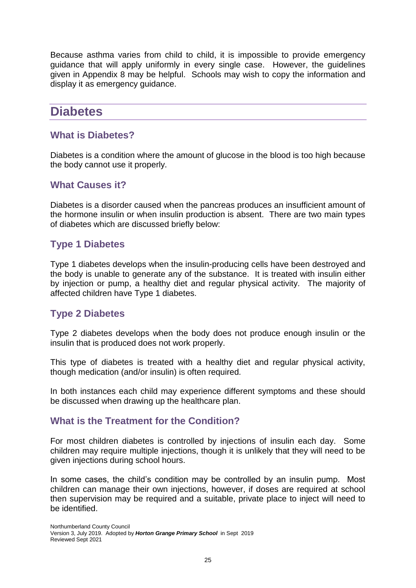Because asthma varies from child to child, it is impossible to provide emergency guidance that will apply uniformly in every single case. However, the guidelines given in Appendix 8 may be helpful. Schools may wish to copy the information and display it as emergency guidance.

# <span id="page-25-0"></span>**Diabetes**

### **What is Diabetes?**

Diabetes is a condition where the amount of glucose in the blood is too high because the body cannot use it properly.

### **What Causes it?**

Diabetes is a disorder caused when the pancreas produces an insufficient amount of the hormone insulin or when insulin production is absent. There are two main types of diabetes which are discussed briefly below:

# **Type 1 Diabetes**

Type 1 diabetes develops when the insulin-producing cells have been destroyed and the body is unable to generate any of the substance. It is treated with insulin either by injection or pump, a healthy diet and regular physical activity*.* The majority of affected children have Type 1 diabetes.

# **Type 2 Diabetes**

Type 2 diabetes develops when the body does not produce enough insulin or the insulin that is produced does not work properly.

This type of diabetes is treated with a healthy diet and regular physical activity, though medication (and/or insulin) is often required*.*

In both instances each child may experience different symptoms and these should be discussed when drawing up the healthcare plan.

# **What is the Treatment for the Condition?**

For most children diabetes is controlled by injections of insulin each day. Some children may require multiple injections, though it is unlikely that they will need to be given injections during school hours.

In some cases, the child's condition may be controlled by an insulin pump. Most children can manage their own injections, however, if doses are required at school then supervision may be required and a suitable, private place to inject will need to be identified.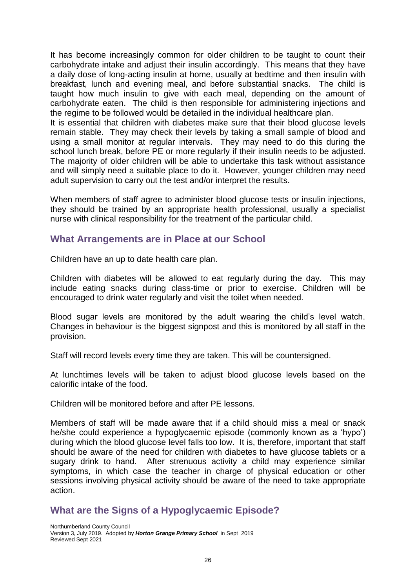It has become increasingly common for older children to be taught to count their carbohydrate intake and adjust their insulin accordingly. This means that they have a daily dose of long-acting insulin at home, usually at bedtime and then insulin with breakfast, lunch and evening meal, and before substantial snacks. The child is taught how much insulin to give with each meal, depending on the amount of carbohydrate eaten. The child is then responsible for administering injections and the regime to be followed would be detailed in the individual healthcare plan.

It is essential that children with diabetes make sure that their blood glucose levels remain stable. They may check their levels by taking a small sample of blood and using a small monitor at regular intervals. They may need to do this during the school lunch break, before PE or more regularly if their insulin needs to be adjusted. The majority of older children will be able to undertake this task without assistance and will simply need a suitable place to do it. However, younger children may need adult supervision to carry out the test and/or interpret the results.

When members of staff agree to administer blood glucose tests or insulin injections, they should be trained by an appropriate health professional, usually a specialist nurse with clinical responsibility for the treatment of the particular child.

### **What Arrangements are in Place at our School**

Children have an up to date health care plan.

Children with diabetes will be allowed to eat regularly during the day. This may include eating snacks during class-time or prior to exercise. Children will be encouraged to drink water regularly and visit the toilet when needed.

Blood sugar levels are monitored by the adult wearing the child's level watch. Changes in behaviour is the biggest signpost and this is monitored by all staff in the provision.

Staff will record levels every time they are taken. This will be countersigned.

At lunchtimes levels will be taken to adjust blood glucose levels based on the calorific intake of the food.

Children will be monitored before and after PE lessons.

Members of staff will be made aware that if a child should miss a meal or snack he/she could experience a hypoglycaemic episode (commonly known as a 'hypo') during which the blood glucose level falls too low. It is, therefore, important that staff should be aware of the need for children with diabetes to have glucose tablets or a sugary drink to hand. After strenuous activity a child may experience similar symptoms, in which case the teacher in charge of physical education or other sessions involving physical activity should be aware of the need to take appropriate action.

# **What are the Signs of a Hypoglycaemic Episode?**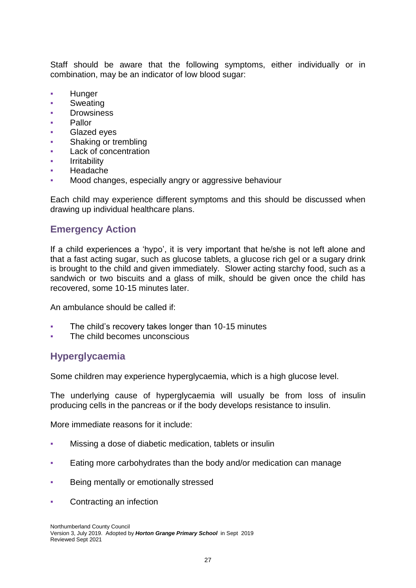Staff should be aware that the following symptoms, either individually or in combination, may be an indicator of low blood sugar:

- **Hunger**
- **Sweating**
- **Drowsiness**
- **Pallor**
- **Glazed eyes**
- Shaking or trembling
- **Lack of concentration**
- **Irritability**
- **Headache**
- Mood changes, especially angry or aggressive behaviour

Each child may experience different symptoms and this should be discussed when drawing up individual healthcare plans.

# **Emergency Action**

If a child experiences a 'hypo', it is very important that he/she is not left alone and that a fast acting sugar, such as glucose tablets, a glucose rich gel or a sugary drink is brought to the child and given immediately. Slower acting starchy food, such as a sandwich or two biscuits and a glass of milk, should be given once the child has recovered, some 10-15 minutes later.

An ambulance should be called if:

- The child's recovery takes longer than 10-15 minutes
- The child becomes unconscious

# **Hyperglycaemia**

Some children may experience hyperglycaemia, which is a high glucose level.

The underlying cause of hyperglycaemia will usually be from loss of insulin producing cells in the pancreas or if the body develops resistance to insulin.

More immediate reasons for it include:

- Missing a dose of diabetic medication, tablets or insulin
- Eating more carbohydrates than the body and/or medication can manage
- Being mentally or emotionally stressed
- Contracting an infection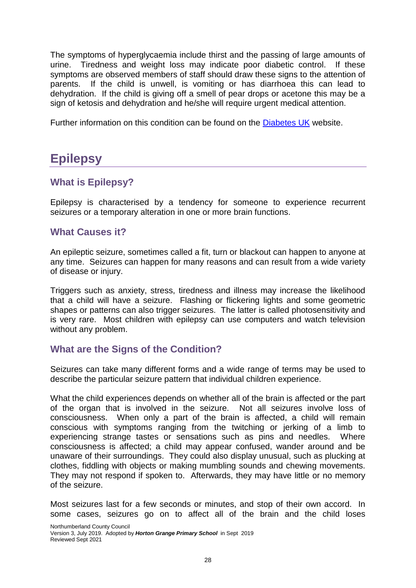The symptoms of hyperglycaemia include thirst and the passing of large amounts of urine. Tiredness and weight loss may indicate poor diabetic control. If these symptoms are observed members of staff should draw these signs to the attention of parents. If the child is unwell, is vomiting or has diarrhoea this can lead to dehydration. If the child is giving off a smell of pear drops or acetone this may be a sign of ketosis and dehydration and he/she will require urgent medical attention.

Further information on this condition can be found on the [Diabetes UK](http://www.diabetes.org.uk/) website.

# <span id="page-28-0"></span>**Epilepsy**

# **What is Epilepsy?**

Epilepsy is characterised by a tendency for someone to experience recurrent seizures or a temporary alteration in one or more brain functions.

### **What Causes it?**

An epileptic seizure, sometimes called a fit, turn or blackout can happen to anyone at any time. Seizures can happen for many reasons and can result from a wide variety of disease or injury.

Triggers such as anxiety, stress, tiredness and illness may increase the likelihood that a child will have a seizure. Flashing or flickering lights and some geometric shapes or patterns can also trigger seizures. The latter is called photosensitivity and is very rare. Most children with epilepsy can use computers and watch television without any problem.

# **What are the Signs of the Condition?**

Seizures can take many different forms and a wide range of terms may be used to describe the particular seizure pattern that individual children experience.

What the child experiences depends on whether all of the brain is affected or the part of the organ that is involved in the seizure. Not all seizures involve loss of consciousness. When only a part of the brain is affected, a child will remain conscious with symptoms ranging from the twitching or jerking of a limb to experiencing strange tastes or sensations such as pins and needles. Where consciousness is affected; a child may appear confused, wander around and be unaware of their surroundings. They could also display unusual, such as plucking at clothes, fiddling with objects or making mumbling sounds and chewing movements. They may not respond if spoken to. Afterwards, they may have little or no memory of the seizure.

Most seizures last for a few seconds or minutes, and stop of their own accord. In some cases, seizures go on to affect all of the brain and the child loses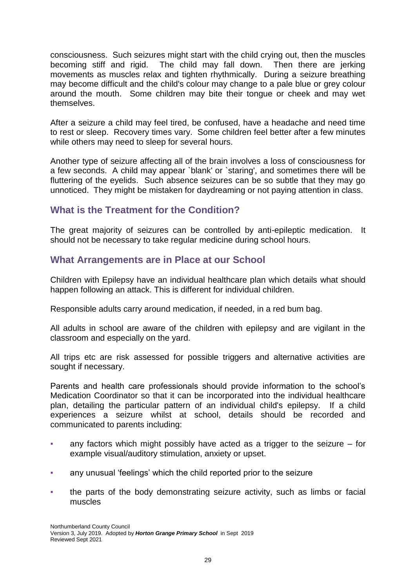consciousness. Such seizures might start with the child crying out, then the muscles becoming stiff and rigid. The child may fall down. Then there are jerking movements as muscles relax and tighten rhythmically. During a seizure breathing may become difficult and the child's colour may change to a pale blue or grey colour around the mouth. Some children may bite their tongue or cheek and may wet themselves.

After a seizure a child may feel tired, be confused, have a headache and need time to rest or sleep. Recovery times vary. Some children feel better after a few minutes while others may need to sleep for several hours.

Another type of seizure affecting all of the brain involves a loss of consciousness for a few seconds. A child may appear `blank' or `staring', and sometimes there will be fluttering of the eyelids. Such absence seizures can be so subtle that they may go unnoticed. They might be mistaken for daydreaming or not paying attention in class.

# **What is the Treatment for the Condition?**

The great majority of seizures can be controlled by anti-epileptic medication. It should not be necessary to take regular medicine during school hours.

# **What Arrangements are in Place at our School**

Children with Epilepsy have an individual healthcare plan which details what should happen following an attack. This is different for individual children.

Responsible adults carry around medication, if needed, in a red bum bag.

All adults in school are aware of the children with epilepsy and are vigilant in the classroom and especially on the yard.

All trips etc are risk assessed for possible triggers and alternative activities are sought if necessary.

Parents and health care professionals should provide information to the school's Medication Coordinator so that it can be incorporated into the individual healthcare plan, detailing the particular pattern of an individual child's epilepsy. If a child experiences a seizure whilst at school, details should be recorded and communicated to parents including:

- any factors which might possibly have acted as a trigger to the seizure  $-$  for example visual/auditory stimulation, anxiety or upset.
- any unusual 'feelings' which the child reported prior to the seizure
- the parts of the body demonstrating seizure activity, such as limbs or facial muscles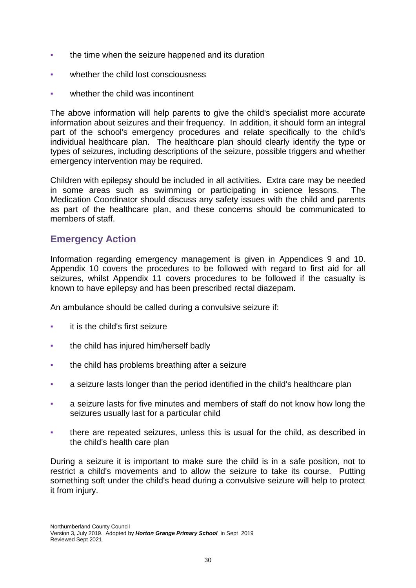- the time when the seizure happened and its duration
- whether the child lost consciousness
- whether the child was incontinent

The above information will help parents to give the child's specialist more accurate information about seizures and their frequency. In addition, it should form an integral part of the school's emergency procedures and relate specifically to the child's individual healthcare plan. The healthcare plan should clearly identify the type or types of seizures, including descriptions of the seizure, possible triggers and whether emergency intervention may be required.

Children with epilepsy should be included in all activities. Extra care may be needed in some areas such as swimming or participating in science lessons. The Medication Coordinator should discuss any safety issues with the child and parents as part of the healthcare plan, and these concerns should be communicated to members of staff.

# **Emergency Action**

Information regarding emergency management is given in Appendices 9 and 10. Appendix 10 covers the procedures to be followed with regard to first aid for all seizures, whilst Appendix 11 covers procedures to be followed if the casualty is known to have epilepsy and has been prescribed rectal diazepam.

An ambulance should be called during a convulsive seizure if:

- it is the child's first seizure
- **•** the child has injured him/herself badly
- the child has problems breathing after a seizure
- a seizure lasts longer than the period identified in the child's healthcare plan
- a seizure lasts for five minutes and members of staff do not know how long the seizures usually last for a particular child
- there are repeated seizures, unless this is usual for the child, as described in the child's health care plan

During a seizure it is important to make sure the child is in a safe position, not to restrict a child's movements and to allow the seizure to take its course. Putting something soft under the child's head during a convulsive seizure will help to protect it from injury.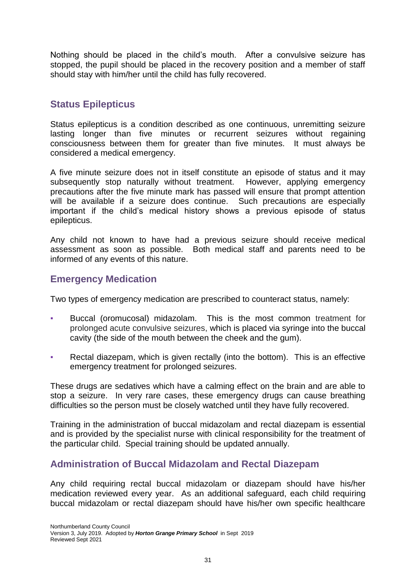Nothing should be placed in the child's mouth. After a convulsive seizure has stopped, the pupil should be placed in the recovery position and a member of staff should stay with him/her until the child has fully recovered.

# **Status Epilepticus**

Status epilepticus is a condition described as one continuous, unremitting seizure lasting longer than five minutes or recurrent seizures without regaining consciousness between them for greater than five minutes. It must always be considered a medical emergency.

A five minute seizure does not in itself constitute an episode of status and it may subsequently stop naturally without treatment. However, applying emergency precautions after the five minute mark has passed will ensure that prompt attention will be available if a seizure does continue. Such precautions are especially important if the child's medical history shows a previous episode of status epilepticus.

Any child not known to have had a previous seizure should receive medical assessment as soon as possible. Both medical staff and parents need to be informed of any events of this nature.

# **Emergency Medication**

Two types of emergency medication are prescribed to counteract status, namely:

- Buccal (oromucosal) midazolam. This is the most common treatment for prolonged acute convulsive seizures, which is placed via syringe into the buccal cavity (the side of the mouth between the cheek and the gum).
- Rectal diazepam, which is given rectally (into the bottom). This is an effective emergency treatment for prolonged seizures.

These drugs are sedatives which have a calming effect on the brain and are able to stop a seizure. In very rare cases, these emergency drugs can cause breathing difficulties so the person must be closely watched until they have fully recovered.

Training in the administration of buccal midazolam and rectal diazepam is essential and is provided by the specialist nurse with clinical responsibility for the treatment of the particular child. Special training should be updated annually.

# **Administration of Buccal Midazolam and Rectal Diazepam**

Any child requiring rectal buccal midazolam or diazepam should have his/her medication reviewed every year. As an additional safeguard, each child requiring buccal midazolam or rectal diazepam should have his/her own specific healthcare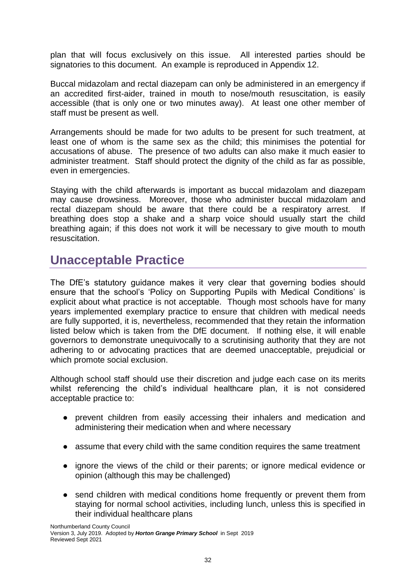plan that will focus exclusively on this issue. All interested parties should be signatories to this document. An example is reproduced in Appendix 12.

Buccal midazolam and rectal diazepam can only be administered in an emergency if an accredited first-aider, trained in mouth to nose/mouth resuscitation, is easily accessible (that is only one or two minutes away). At least one other member of staff must be present as well.

Arrangements should be made for two adults to be present for such treatment, at least one of whom is the same sex as the child; this minimises the potential for accusations of abuse. The presence of two adults can also make it much easier to administer treatment. Staff should protect the dignity of the child as far as possible, even in emergencies.

Staying with the child afterwards is important as buccal midazolam and diazepam may cause drowsiness. Moreover, those who administer buccal midazolam and rectal diazepam should be aware that there could be a respiratory arrest. If breathing does stop a shake and a sharp voice should usually start the child breathing again; if this does not work it will be necessary to give mouth to mouth resuscitation.

# <span id="page-32-0"></span>**Unacceptable Practice**

The DfE's statutory guidance makes it very clear that governing bodies should ensure that the school's 'Policy on Supporting Pupils with Medical Conditions' is explicit about what practice is not acceptable. Though most schools have for many years implemented exemplary practice to ensure that children with medical needs are fully supported, it is, nevertheless, recommended that they retain the information listed below which is taken from the DfE document. If nothing else, it will enable governors to demonstrate unequivocally to a scrutinising authority that they are not adhering to or advocating practices that are deemed unacceptable, prejudicial or which promote social exclusion.

Although school staff should use their discretion and judge each case on its merits whilst referencing the child's individual healthcare plan, it is not considered acceptable practice to:

- prevent children from easily accessing their inhalers and medication and administering their medication when and where necessary
- assume that every child with the same condition requires the same treatment
- ignore the views of the child or their parents; or ignore medical evidence or opinion (although this may be challenged)
- send children with medical conditions home frequently or prevent them from staying for normal school activities, including lunch, unless this is specified in their individual healthcare plans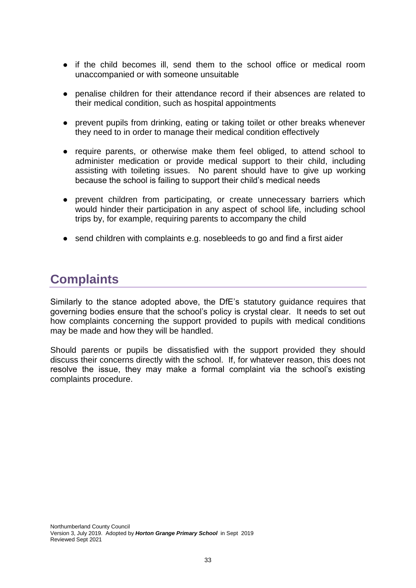- if the child becomes ill, send them to the school office or medical room unaccompanied or with someone unsuitable
- penalise children for their attendance record if their absences are related to their medical condition, such as hospital appointments
- prevent pupils from drinking, eating or taking toilet or other breaks whenever they need to in order to manage their medical condition effectively
- require parents, or otherwise make them feel obliged, to attend school to administer medication or provide medical support to their child, including assisting with toileting issues. No parent should have to give up working because the school is failing to support their child's medical needs
- prevent children from participating, or create unnecessary barriers which would hinder their participation in any aspect of school life, including school trips by, for example, requiring parents to accompany the child
- send children with complaints e.g. nosebleeds to go and find a first aider

# <span id="page-33-0"></span>**Complaints**

Similarly to the stance adopted above, the DfE's statutory guidance requires that governing bodies ensure that the school's policy is crystal clear. It needs to set out how complaints concerning the support provided to pupils with medical conditions may be made and how they will be handled.

Should parents or pupils be dissatisfied with the support provided they should discuss their concerns directly with the school. If, for whatever reason, this does not resolve the issue, they may make a formal complaint via the school's existing complaints procedure.